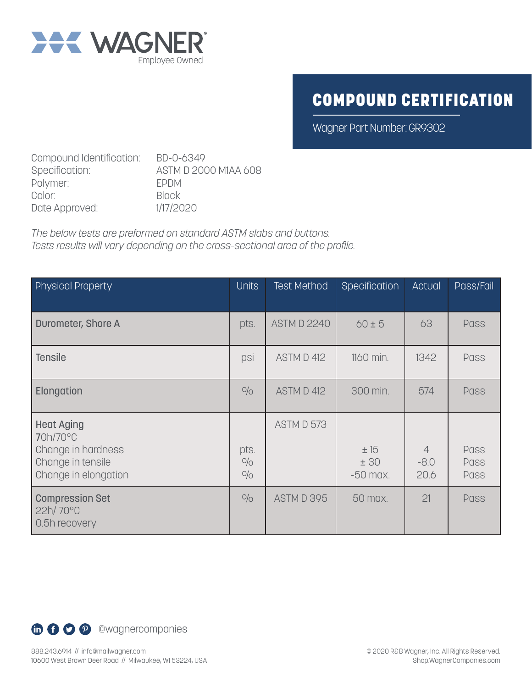

## COMPOUND CERTIFICATION

Wagner Part Number: GR9302

Compound Identification: BD-0-6349<br>Specification: ASTM D 200 ASTM D 2000 M1AA 608 Polymer: EPDM Color: Black Date Approved: 1/17/2020

*The below tests are preformed on standard ASTM slabs and buttons. Tests results will vary depending on the cross-sectional area of the profile.*

| <b>Physical Property</b>                                                                         | <b>Units</b>       | <b>Test Method</b> | Specification            | Actual                           | Pass/Fail                   |
|--------------------------------------------------------------------------------------------------|--------------------|--------------------|--------------------------|----------------------------------|-----------------------------|
| Durometer, Shore A                                                                               | pts.               | <b>ASTM D 2240</b> | $60 \pm 5$               | 63                               | <b>Pass</b>                 |
| <b>Tensile</b>                                                                                   | psi                | ASTM D 412         | 1160 min.                | 1342                             | <b>Pass</b>                 |
| Elongation                                                                                       | O/O                | ASTM D 412         | 300 min.                 | 574                              | <b>Pass</b>                 |
| <b>Heat Aging</b><br>70h/70°C<br>Change in hardness<br>Change in tensile<br>Change in elongation | pts.<br>O/O<br>O/O | ASTM D 573         | ±15<br>±30<br>$-50$ max. | $\overline{4}$<br>$-8.0$<br>20.6 | <b>Pass</b><br>Pass<br>Pass |
| <b>Compression Set</b><br>$22h/70^{\circ}$ C<br>0.5h recovery                                    | O/O                | ASTM D 395         | 50 max.                  | 21                               | <b>Pass</b>                 |

**th O O P** @wagnercompanies